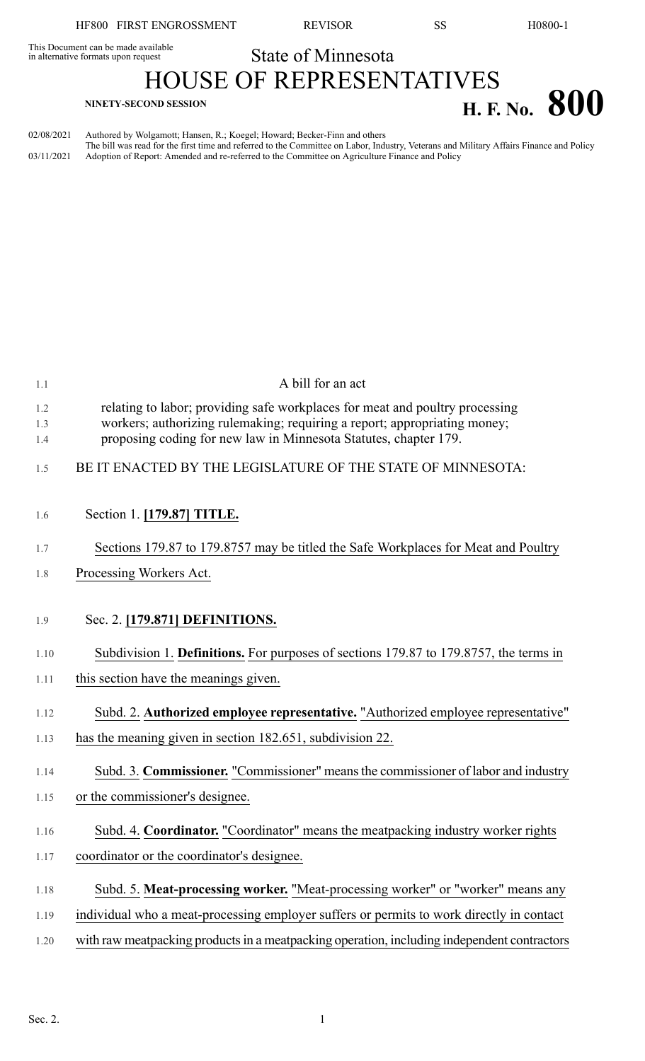This Document can be made available<br>in alternative formats upon request **State of Minnesota** 

## HOUSE OF REPRESENTATIVES **H. F.** No. **800**

02/08/2021 Authored by Wolgamott; Hansen, R.; Koegel; Howard; Becker-Finn and others The bill was read for the first time and referred to the Committee on Labor, Industry, Veterans and Military Affairs Finance and Policy 03/11/2021 Adoption of Report: Amended and re-referred to the Committee on Agriculture Finance and Policy

| 1.1        | A bill for an act                                                                                                                                         |
|------------|-----------------------------------------------------------------------------------------------------------------------------------------------------------|
| 1.2<br>1.3 | relating to labor; providing safe workplaces for meat and poultry processing<br>workers; authorizing rulemaking; requiring a report; appropriating money; |
| 1.4        | proposing coding for new law in Minnesota Statutes, chapter 179.                                                                                          |
| 1.5        | BE IT ENACTED BY THE LEGISLATURE OF THE STATE OF MINNESOTA:                                                                                               |
| 1.6        | Section 1. [179.87] TITLE.                                                                                                                                |
| 1.7        | Sections 179.87 to 179.8757 may be titled the Safe Workplaces for Meat and Poultry                                                                        |
| 1.8        | Processing Workers Act.                                                                                                                                   |
|            |                                                                                                                                                           |
| 1.9        | Sec. 2. [179.871] DEFINITIONS.                                                                                                                            |
| 1.10       | Subdivision 1. Definitions. For purposes of sections 179.87 to 179.8757, the terms in                                                                     |
| 1.11       | this section have the meanings given.                                                                                                                     |
| 1.12       | Subd. 2. Authorized employee representative. "Authorized employee representative"                                                                         |
| 1.13       | has the meaning given in section 182.651, subdivision 22.                                                                                                 |
| 1.14       | Subd. 3. Commissioner. "Commissioner" means the commissioner of labor and industry                                                                        |
| 1.15       | or the commissioner's designee.                                                                                                                           |
| 1.16       | Subd. 4. Coordinator. "Coordinator" means the meatpacking industry worker rights                                                                          |
| 1.17       | coordinator or the coordinator's designee.                                                                                                                |
| 1.18       | Subd. 5. Meat-processing worker. "Meat-processing worker" or "worker" means any                                                                           |
| 1.19       | individual who a meat-processing employer suffers or permits to work directly in contact                                                                  |
| 1.20       | with raw meatpacking products in a meatpacking operation, including independent contractors                                                               |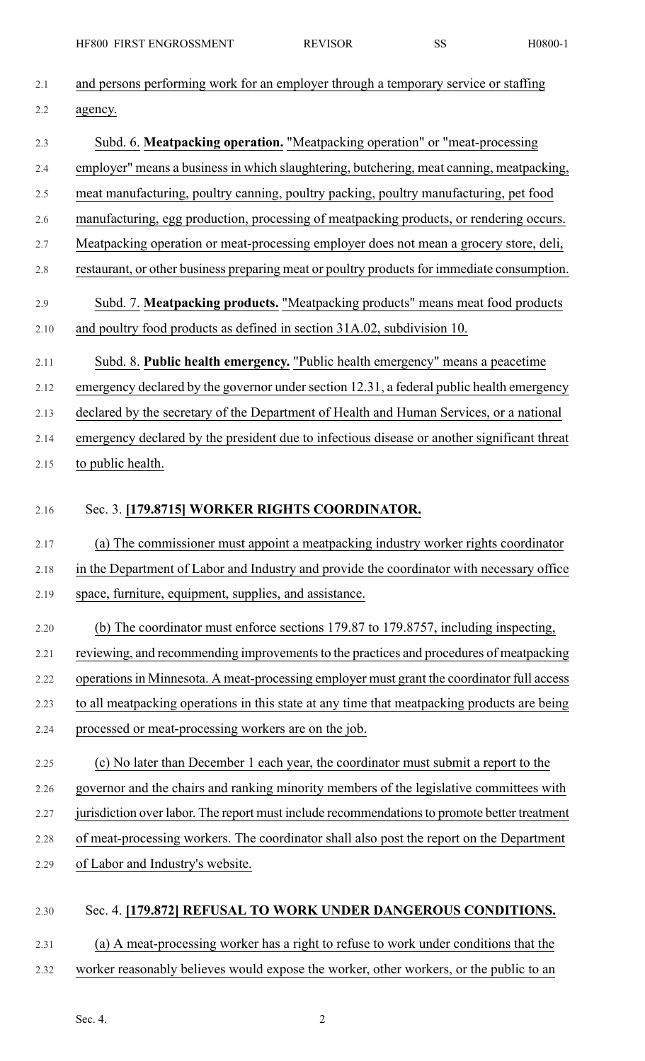| 2.1     | and persons performing work for an employer through a temporary service or staffing          |
|---------|----------------------------------------------------------------------------------------------|
| 2.2     | agency.                                                                                      |
| 2.3     | Subd. 6. Meatpacking operation. "Meatpacking operation" or "meat-processing                  |
| 2.4     | employer" means a business in which slaughtering, butchering, meat canning, meatpacking,     |
| 2.5     | meat manufacturing, poultry canning, poultry packing, poultry manufacturing, pet food        |
| 2.6     | manufacturing, egg production, processing of meatpacking products, or rendering occurs.      |
| 2.7     | Meatpacking operation or meat-processing employer does not mean a grocery store, deli,       |
| $2.8\,$ | restaurant, or other business preparing meat or poultry products for immediate consumption.  |
| 2.9     | Subd. 7. Meatpacking products. "Meatpacking products" means meat food products               |
| 2.10    | and poultry food products as defined in section 31A.02, subdivision 10.                      |
| 2.11    | Subd. 8. Public health emergency. "Public health emergency" means a peacetime                |
| 2.12    | emergency declared by the governor under section 12.31, a federal public health emergency    |
| 2.13    | declared by the secretary of the Department of Health and Human Services, or a national      |
| 2.14    | emergency declared by the president due to infectious disease or another significant threat  |
| 2.15    | to public health.                                                                            |
| 2.16    | Sec. 3. [179.8715] WORKER RIGHTS COORDINATOR.                                                |
| 2.17    | (a) The commissioner must appoint a meatpacking industry worker rights coordinator           |
| 2.18    | in the Department of Labor and Industry and provide the coordinator with necessary office    |
| 2.19    | space, furniture, equipment, supplies, and assistance.                                       |
| 2.20    | (b) The coordinator must enforce sections 179.87 to 179.8757, including inspecting,          |
| 2.21    | reviewing, and recommending improvements to the practices and procedures of meatpacking      |
| 2.22    | operations in Minnesota. A meat-processing employer must grant the coordinator full access   |
| 2.23    | to all meatpacking operations in this state at any time that meatpacking products are being  |
| 2.24    | processed or meat-processing workers are on the job.                                         |
| 2.25    | (c) No later than December 1 each year, the coordinator must submit a report to the          |
| 2.26    | governor and the chairs and ranking minority members of the legislative committees with      |
| 2.27    | jurisdiction over labor. The report must include recommendations to promote better treatment |
| 2.28    | of meat-processing workers. The coordinator shall also post the report on the Department     |
| 2.29    | of Labor and Industry's website.                                                             |
| 2.30    | Sec. 4. [179.872] REFUSAL TO WORK UNDER DANGEROUS CONDITIONS.                                |
| 2.31    |                                                                                              |
|         | (a) A meat-processing worker has a right to refuse to work under conditions that the         |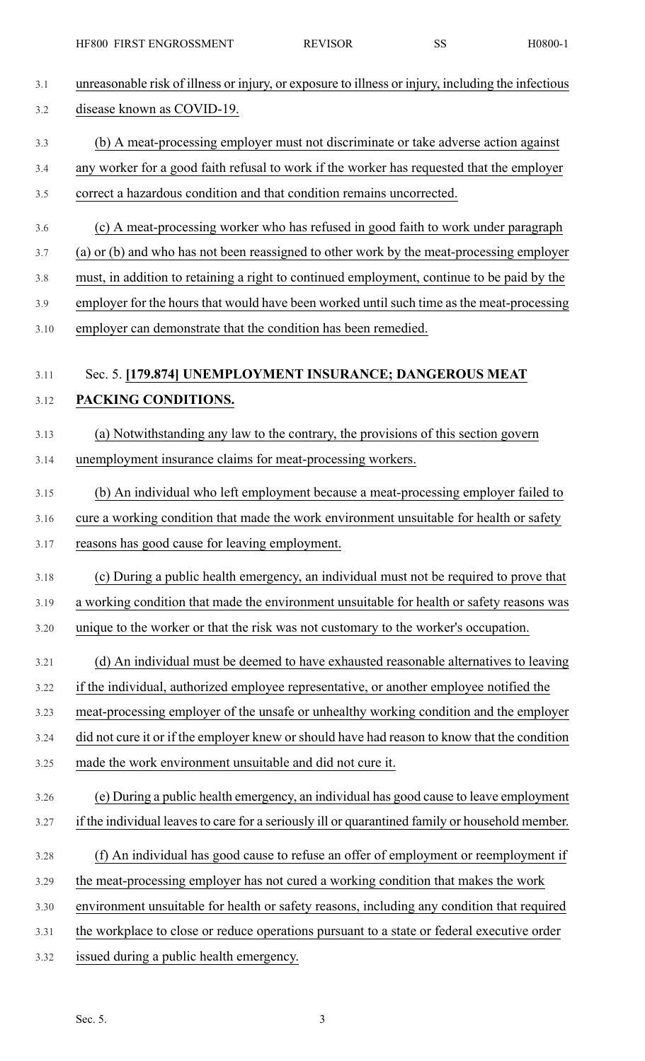| <b>HE 600 THAS LENOROSSMENT</b>                                                                                                                           |                                                                                        | 110000-1 |
|-----------------------------------------------------------------------------------------------------------------------------------------------------------|----------------------------------------------------------------------------------------|----------|
| unreasonable risk of illness or injury, or exposure to illness or injury, including the infectious                                                        |                                                                                        |          |
| disease known as COVID-19.                                                                                                                                |                                                                                        |          |
|                                                                                                                                                           |                                                                                        |          |
|                                                                                                                                                           | (b) A meat-processing employer must not discriminate or take adverse action against    |          |
| any worker for a good faith refusal to work if the worker has requested that the employer                                                                 |                                                                                        |          |
| correct a hazardous condition and that condition remains uncorrected.                                                                                     |                                                                                        |          |
|                                                                                                                                                           | (c) A meat-processing worker who has refused in good faith to work under paragraph     |          |
| (a) or (b) and who has not been reassigned to other work by the meat-processing employer                                                                  |                                                                                        |          |
| must, in addition to retaining a right to continued employment, continue to be paid by the                                                                |                                                                                        |          |
| employer for the hours that would have been worked until such time as the meat-processing                                                                 |                                                                                        |          |
| employer can demonstrate that the condition has been remedied.                                                                                            |                                                                                        |          |
|                                                                                                                                                           |                                                                                        |          |
| Sec. 5. [179.874] UNEMPLOYMENT INSURANCE; DANGEROUS MEAT                                                                                                  |                                                                                        |          |
| PACKING CONDITIONS.                                                                                                                                       |                                                                                        |          |
|                                                                                                                                                           | (a) Notwithstanding any law to the contrary, the provisions of this section govern     |          |
| unemployment insurance claims for meat-processing workers.                                                                                                |                                                                                        |          |
|                                                                                                                                                           | (b) An individual who left employment because a meat-processing employer failed to     |          |
| cure a working condition that made the work environment unsuitable for health or safety                                                                   |                                                                                        |          |
| reasons has good cause for leaving employment.                                                                                                            |                                                                                        |          |
|                                                                                                                                                           | (c) During a public health emergency, an individual must not be required to prove that |          |
| a working condition that made the environment unsuitable for health or safety reasons was                                                                 |                                                                                        |          |
| unique to the worker or that the risk was not customary to the worker's occupation.                                                                       |                                                                                        |          |
|                                                                                                                                                           |                                                                                        |          |
|                                                                                                                                                           | (d) An individual must be deemed to have exhausted reasonable alternatives to leaving  |          |
| if the individual, authorized employee representative, or another employee notified the                                                                   |                                                                                        |          |
| meat-processing employer of the unsafe or unhealthy working condition and the employer                                                                    |                                                                                        |          |
| did not cure it or if the employer knew or should have had reason to know that the condition<br>made the work environment unsuitable and did not cure it. |                                                                                        |          |
|                                                                                                                                                           |                                                                                        |          |
|                                                                                                                                                           | (e) During a public health emergency, an individual has good cause to leave employment |          |
| if the individual leaves to care for a seriously ill or quarantined family or household member.                                                           |                                                                                        |          |
|                                                                                                                                                           | (f) An individual has good cause to refuse an offer of employment or reemployment if   |          |
| the meat-processing employer has not cured a working condition that makes the work                                                                        |                                                                                        |          |
| environment unsuitable for health or safety reasons, including any condition that required                                                                |                                                                                        |          |
| the workplace to close or reduce operations pursuant to a state or federal executive order                                                                |                                                                                        |          |
| issued during a public health emergency.                                                                                                                  |                                                                                        |          |
|                                                                                                                                                           |                                                                                        |          |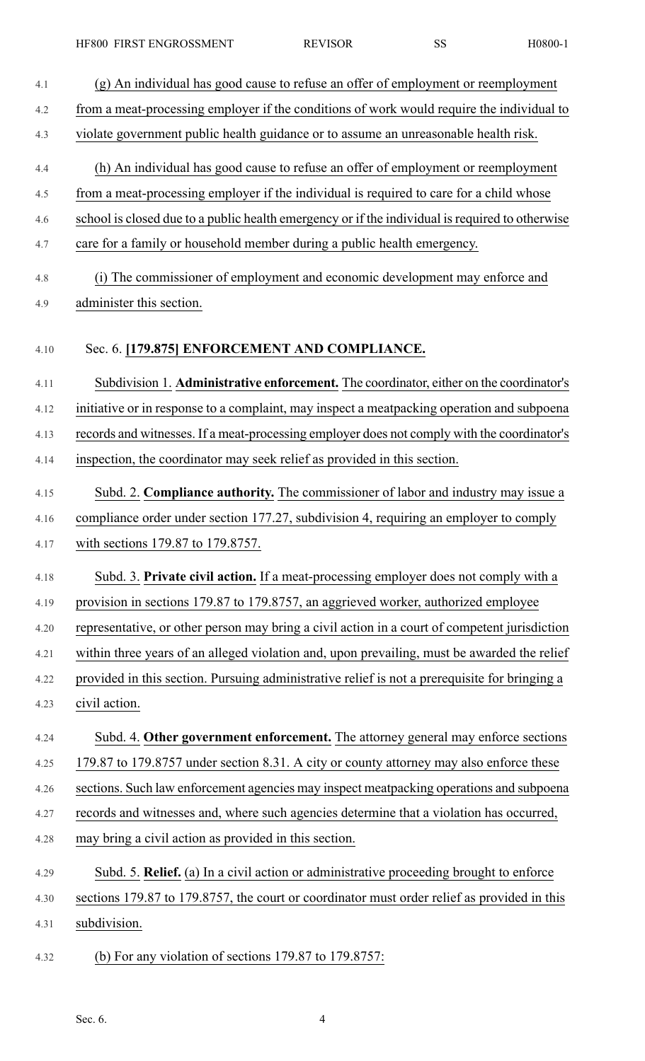4.1 (g) An individual has good cause to refuse an offer of employment or reemployment 4.2 from a meat-processing employer if the conditions of work would require the individual to 4.3 violate government public health guidance or to assume an unreasonable health risk. 4.4 (h) An individual has good cause to refuse an offer of employment or reemployment 4.5 from a meat-processing employer if the individual is required to care for a child whose 4.6 school is closed due to a public health emergency or if the individual is required to otherwise 4.7 care for a family or household member during a public health emergency. 4.8 (i) The commissioner of employment and economic development may enforce and 4.9 administer this section. 4.10 Sec. 6. **[179.875] ENFORCEMENT AND COMPLIANCE.** 4.11 Subdivision 1. **Administrative enforcement.** The coordinator, either on the coordinator's 4.12 initiative or in response to a complaint, may inspect a meatpacking operation and subpoena 4.13 records and witnesses. If a meat-processing employer does not comply with the coordinator's 4.14 inspection, the coordinator may seek relief as provided in this section. 4.15 Subd. 2. **Compliance authority.** The commissioner of labor and industry may issue a 4.16 compliance order under section 177.27, subdivision 4, requiring an employer to comply 4.17 with sections 179.87 to 179.8757. 4.18 Subd. 3. **Private civil action.** If a meat-processing employer does not comply with a 4.19 provision in sections 179.87 to 179.8757, an aggrieved worker, authorized employee 4.20 representative, or other person may bring a civil action in a court of competent jurisdiction 4.21 within three years of an alleged violation and, upon prevailing, must be awarded the relief 4.22 provided in this section. Pursuing administrative relief is not a prerequisite for bringing a 4.23 civil action. 4.24 Subd. 4. **Other government enforcement.** The attorney general may enforce sections 4.25 179.87 to 179.8757 under section 8.31. A city or county attorney may also enforce these 4.26 sections. Such law enforcement agencies may inspect meatpacking operations and subpoena 4.27 records and witnesses and, where such agencies determine that a violation has occurred, 4.28 may bring a civil action as provided in this section. 4.29 Subd. 5. **Relief.** (a) In a civil action or administrative proceeding brought to enforce 4.30 sections 179.87 to 179.8757, the court or coordinator must order relief as provided in this 4.31 subdivision. 4.32 (b) For any violation of sections 179.87 to 179.8757: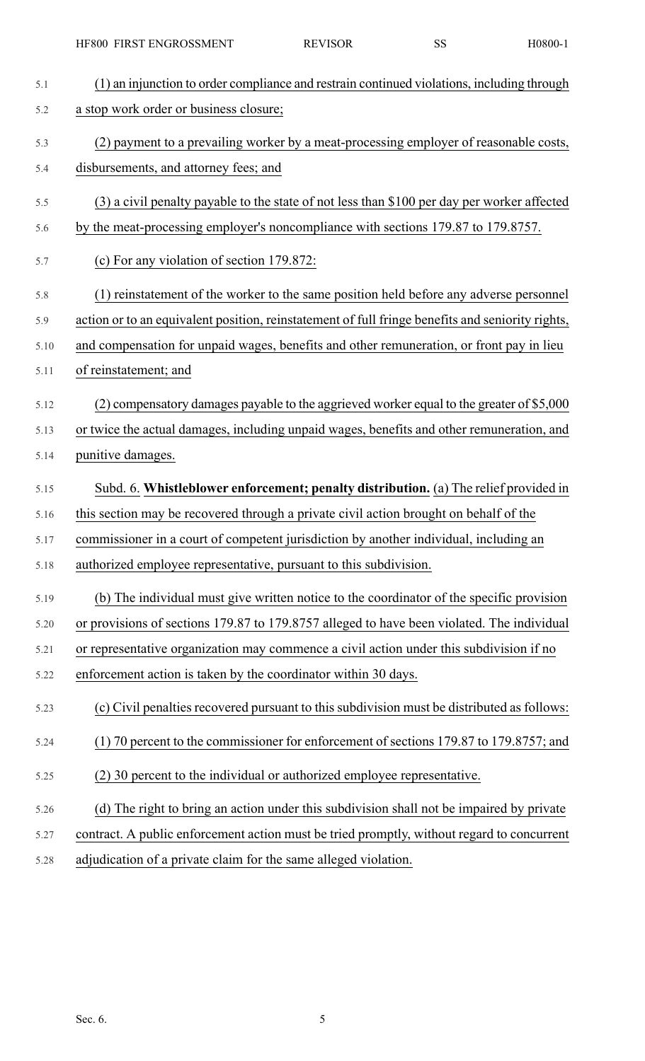| 5.1  | (1) an injunction to order compliance and restrain continued violations, including through       |
|------|--------------------------------------------------------------------------------------------------|
| 5.2  | a stop work order or business closure;                                                           |
| 5.3  | (2) payment to a prevailing worker by a meat-processing employer of reasonable costs,            |
| 5.4  | disbursements, and attorney fees; and                                                            |
| 5.5  | (3) a civil penalty payable to the state of not less than \$100 per day per worker affected      |
| 5.6  | by the meat-processing employer's noncompliance with sections 179.87 to 179.8757.                |
| 5.7  | (c) For any violation of section 179.872:                                                        |
| 5.8  | (1) reinstatement of the worker to the same position held before any adverse personnel           |
| 5.9  | action or to an equivalent position, reinstatement of full fringe benefits and seniority rights, |
| 5.10 | and compensation for unpaid wages, benefits and other remuneration, or front pay in lieu         |
| 5.11 | of reinstatement; and                                                                            |
| 5.12 | (2) compensatory damages payable to the aggrieved worker equal to the greater of \$5,000         |
| 5.13 | or twice the actual damages, including unpaid wages, benefits and other remuneration, and        |
| 5.14 | punitive damages.                                                                                |
|      |                                                                                                  |
| 5.15 | Subd. 6. Whistleblower enforcement; penalty distribution. (a) The relief provided in             |
| 5.16 | this section may be recovered through a private civil action brought on behalf of the            |
| 5.17 | commissioner in a court of competent jurisdiction by another individual, including an            |
| 5.18 | authorized employee representative, pursuant to this subdivision.                                |
| 5.19 | (b) The individual must give written notice to the coordinator of the specific provision         |
| 5.20 | or provisions of sections 179.87 to 179.8757 alleged to have been violated. The individual       |
| 5.21 | or representative organization may commence a civil action under this subdivision if no          |
| 5.22 | enforcement action is taken by the coordinator within 30 days.                                   |
| 5.23 | (c) Civil penalties recovered pursuant to this subdivision must be distributed as follows:       |
| 5.24 | (1) 70 percent to the commissioner for enforcement of sections 179.87 to 179.8757; and           |
| 5.25 | (2) 30 percent to the individual or authorized employee representative.                          |
| 5.26 | (d) The right to bring an action under this subdivision shall not be impaired by private         |
| 5.27 | contract. A public enforcement action must be tried promptly, without regard to concurrent       |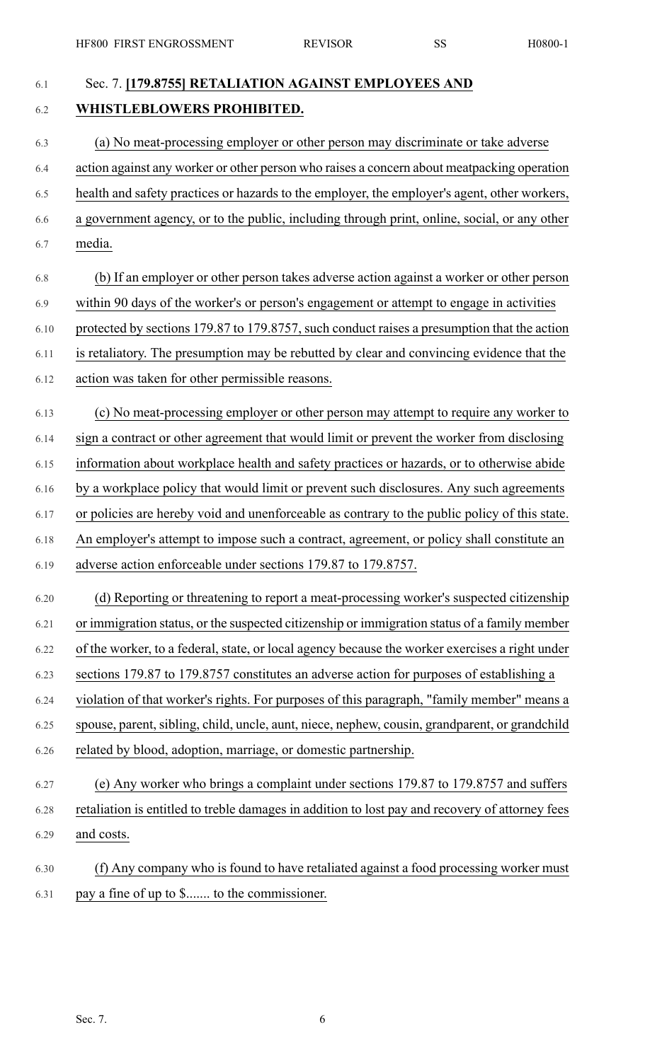## 6.1 Sec. 7. **[179.8755] RETALIATION AGAINST EMPLOYEES AND** 6.2 **WHISTLEBLOWERS PROHIBITED.**

- 6.3 (a) No meat-processing employer or other person may discriminate or take adverse 6.4 action against any worker or other person who raises a concern about meatpacking operation 6.5 health and safety practices or hazards to the employer, the employer's agent, other workers, 6.6 a government agency, or to the public, including through print, online, social, or any other 6.7 media.
- 6.8 (b) If an employer or other person takes adverse action against a worker or other person 6.9 within 90 days of the worker's or person's engagement or attempt to engage in activities 6.10 protected by sections 179.87 to 179.8757, such conduct raises a presumption that the action 6.11 is retaliatory. The presumption may be rebutted by clear and convincing evidence that the
- 6.12 action was taken for other permissible reasons.
- 6.13 (c) No meat-processing employer or other person may attempt to require any worker to
- 6.14 sign a contract or other agreement that would limit or prevent the worker from disclosing
- 6.15 information about workplace health and safety practices or hazards, or to otherwise abide
- 6.16 by a workplace policy that would limit or prevent such disclosures. Any such agreements
- 6.17 or policies are hereby void and unenforceable as contrary to the public policy of this state.
- 6.18 An employer's attempt to impose such a contract, agreement, or policy shall constitute an
- 6.19 adverse action enforceable under sections 179.87 to 179.8757.
- 6.20 (d) Reporting or threatening to report a meat-processing worker's suspected citizenship 6.21 or immigration status, or the suspected citizenship or immigration status of a family member 6.22 of the worker, to a federal, state, or local agency because the worker exercises a right under 6.23 sections 179.87 to 179.8757 constitutes an adverse action for purposes of establishing a
- 6.24 violation of that worker's rights. For purposes of this paragraph, "family member" means a
- 6.25 spouse, parent, sibling, child, uncle, aunt, niece, nephew, cousin, grandparent, or grandchild 6.26 related by blood, adoption, marriage, or domestic partnership.
- 6.27 (e) Any worker who brings a complaint under sections 179.87 to 179.8757 and suffers 6.28 retaliation is entitled to treble damages in addition to lost pay and recovery of attorney fees 6.29 and costs.
- 6.30 (f) Any company who is found to have retaliated against a food processing worker must 6.31 pay a fine of up to \$....... to the commissioner.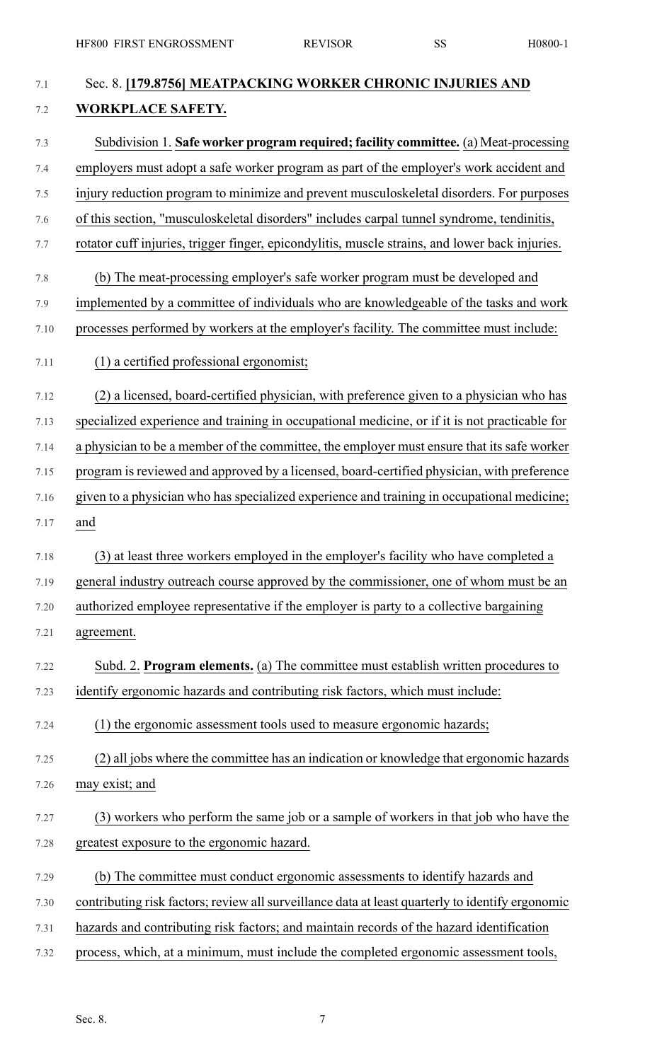| 7.1  | Sec. 8. [179.8756] MEATPACKING WORKER CHRONIC INJURIES AND                                       |
|------|--------------------------------------------------------------------------------------------------|
| 7.2  | <b>WORKPLACE SAFETY.</b>                                                                         |
| 7.3  | Subdivision 1. Safe worker program required; facility committee. (a) Meat-processing             |
| 7.4  | employers must adopt a safe worker program as part of the employer's work accident and           |
| 7.5  | injury reduction program to minimize and prevent musculoskeletal disorders. For purposes         |
| 7.6  | of this section, "musculoskeletal disorders" includes carpal tunnel syndrome, tendinitis,        |
| 7.7  | rotator cuff injuries, trigger finger, epicondylitis, muscle strains, and lower back injuries.   |
| 7.8  | (b) The meat-processing employer's safe worker program must be developed and                     |
| 7.9  | implemented by a committee of individuals who are knowledgeable of the tasks and work            |
| 7.10 | processes performed by workers at the employer's facility. The committee must include:           |
| 7.11 | (1) a certified professional ergonomist;                                                         |
| 7.12 | (2) a licensed, board-certified physician, with preference given to a physician who has          |
| 7.13 | specialized experience and training in occupational medicine, or if it is not practicable for    |
| 7.14 | a physician to be a member of the committee, the employer must ensure that its safe worker       |
| 7.15 | program is reviewed and approved by a licensed, board-certified physician, with preference       |
| 7.16 | given to a physician who has specialized experience and training in occupational medicine;       |
| 7.17 | and                                                                                              |
| 7.18 | (3) at least three workers employed in the employer's facility who have completed a              |
| 7.19 | general industry outreach course approved by the commissioner, one of whom must be an            |
| 7.20 | authorized employee representative if the employer is party to a collective bargaining           |
| 7.21 | agreement.                                                                                       |
| 7.22 | Subd. 2. Program elements. (a) The committee must establish written procedures to                |
| 7.23 | identify ergonomic hazards and contributing risk factors, which must include:                    |
| 7.24 | (1) the ergonomic assessment tools used to measure ergonomic hazards;                            |
| 7.25 | (2) all jobs where the committee has an indication or knowledge that ergonomic hazards           |
| 7.26 | may exist; and                                                                                   |
| 7.27 | (3) workers who perform the same job or a sample of workers in that job who have the             |
| 7.28 | greatest exposure to the ergonomic hazard.                                                       |
| 7.29 | (b) The committee must conduct ergonomic assessments to identify hazards and                     |
| 7.30 | contributing risk factors; review all surveillance data at least quarterly to identify ergonomic |
| 7.31 | hazards and contributing risk factors; and maintain records of the hazard identification         |
| 7.32 | process, which, at a minimum, must include the completed ergonomic assessment tools,             |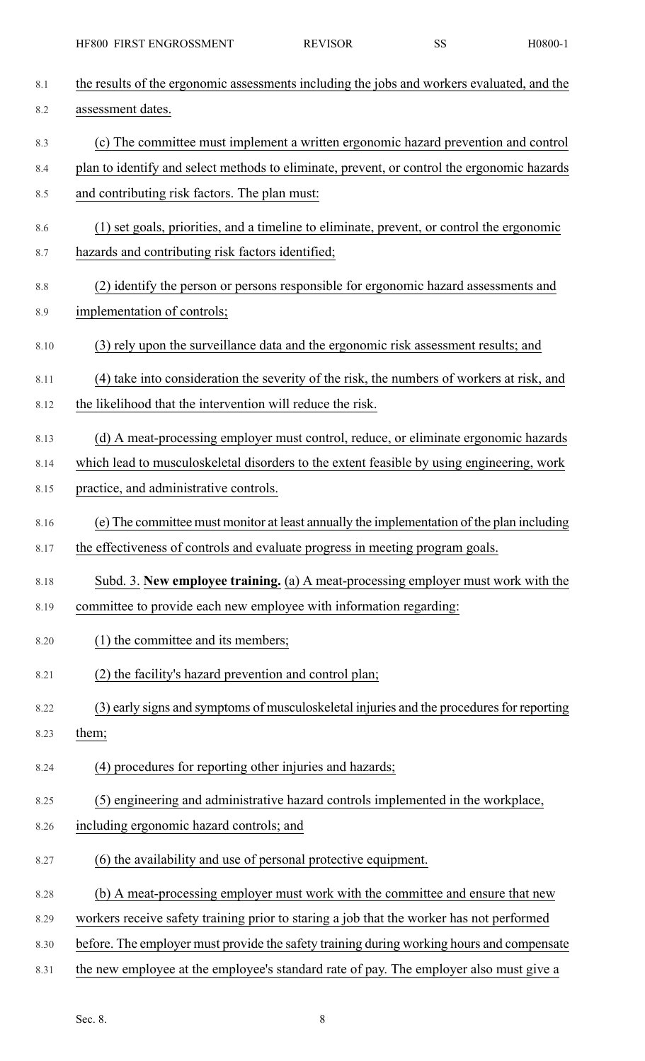| 8.1  | the results of the ergonomic assessments including the jobs and workers evaluated, and the  |
|------|---------------------------------------------------------------------------------------------|
| 8.2  | assessment dates.                                                                           |
| 8.3  | (c) The committee must implement a written ergonomic hazard prevention and control          |
| 8.4  | plan to identify and select methods to eliminate, prevent, or control the ergonomic hazards |
| 8.5  | and contributing risk factors. The plan must:                                               |
| 8.6  | (1) set goals, priorities, and a timeline to eliminate, prevent, or control the ergonomic   |
| 8.7  | hazards and contributing risk factors identified;                                           |
| 8.8  | (2) identify the person or persons responsible for ergonomic hazard assessments and         |
| 8.9  | implementation of controls;                                                                 |
| 8.10 | (3) rely upon the surveillance data and the ergonomic risk assessment results; and          |
| 8.11 | (4) take into consideration the severity of the risk, the numbers of workers at risk, and   |
| 8.12 | the likelihood that the intervention will reduce the risk.                                  |
| 8.13 | (d) A meat-processing employer must control, reduce, or eliminate ergonomic hazards         |
| 8.14 | which lead to musculoskeletal disorders to the extent feasible by using engineering, work   |
| 8.15 | practice, and administrative controls.                                                      |
| 8.16 | (e) The committee must monitor at least annually the implementation of the plan including   |
| 8.17 | the effectiveness of controls and evaluate progress in meeting program goals.               |
| 8.18 | Subd. 3. New employee training. (a) A meat-processing employer must work with the           |
| 8.19 | committee to provide each new employee with information regarding:                          |
| 8.20 | (1) the committee and its members;                                                          |
| 8.21 | (2) the facility's hazard prevention and control plan;                                      |
| 8.22 | (3) early signs and symptoms of musculoskeletal injuries and the procedures for reporting   |
| 8.23 | them;                                                                                       |
| 8.24 | (4) procedures for reporting other injuries and hazards;                                    |
| 8.25 | (5) engineering and administrative hazard controls implemented in the workplace,            |
| 8.26 | including ergonomic hazard controls; and                                                    |
| 8.27 | (6) the availability and use of personal protective equipment.                              |
| 8.28 | (b) A meat-processing employer must work with the committee and ensure that new             |
| 8.29 | workers receive safety training prior to staring a job that the worker has not performed    |
| 8.30 | before. The employer must provide the safety training during working hours and compensate   |
| 8.31 | the new employee at the employee's standard rate of pay. The employer also must give a      |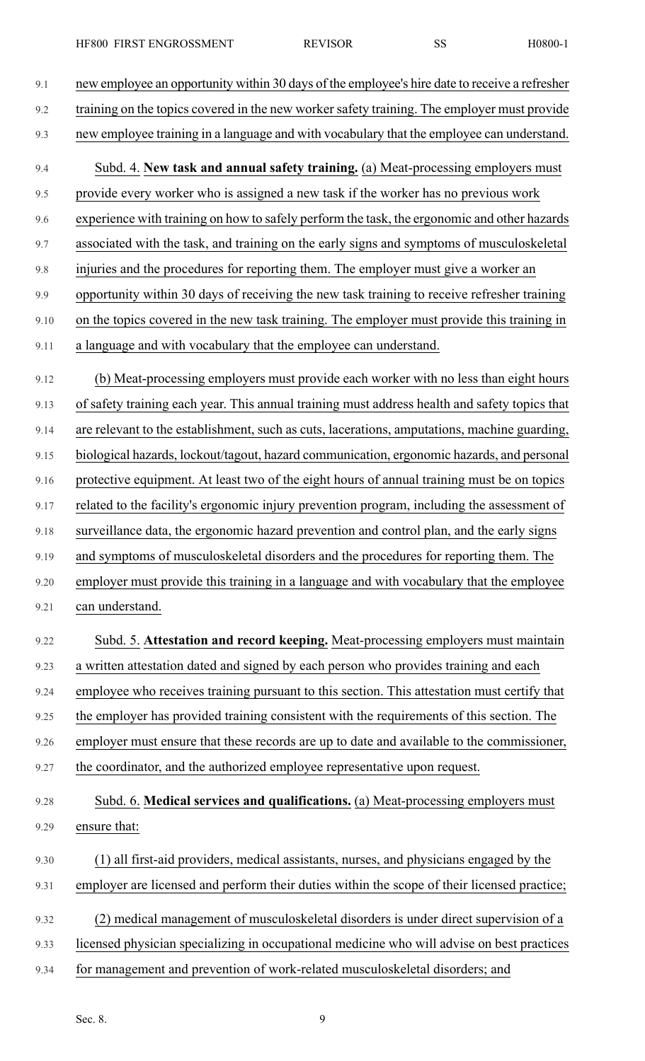| 9.1  | new employee an opportunity within 30 days of the employee's hire date to receive a refresher |
|------|-----------------------------------------------------------------------------------------------|
| 9.2  | training on the topics covered in the new worker safety training. The employer must provide   |
| 9.3  | new employee training in a language and with vocabulary that the employee can understand.     |
| 9.4  | Subd. 4. New task and annual safety training. (a) Meat-processing employers must              |
| 9.5  | provide every worker who is assigned a new task if the worker has no previous work            |
| 9.6  | experience with training on how to safely perform the task, the ergonomic and other hazards   |
| 9.7  | associated with the task, and training on the early signs and symptoms of musculoskeletal     |
| 9.8  | injuries and the procedures for reporting them. The employer must give a worker an            |
| 9.9  | opportunity within 30 days of receiving the new task training to receive refresher training   |
| 9.10 | on the topics covered in the new task training. The employer must provide this training in    |
| 9.11 | a language and with vocabulary that the employee can understand.                              |
| 9.12 | (b) Meat-processing employers must provide each worker with no less than eight hours          |
| 9.13 | of safety training each year. This annual training must address health and safety topics that |
| 9.14 | are relevant to the establishment, such as cuts, lacerations, amputations, machine guarding,  |
| 9.15 | biological hazards, lockout/tagout, hazard communication, ergonomic hazards, and personal     |
| 9.16 | protective equipment. At least two of the eight hours of annual training must be on topics    |
| 9.17 | related to the facility's ergonomic injury prevention program, including the assessment of    |
| 9.18 | surveillance data, the ergonomic hazard prevention and control plan, and the early signs      |
| 9.19 | and symptoms of musculoskeletal disorders and the procedures for reporting them. The          |
| 9.20 | employer must provide this training in a language and with vocabulary that the employee       |
| 9.21 | can understand.                                                                               |
| 9.22 | Subd. 5. Attestation and record keeping. Meat-processing employers must maintain              |
| 9.23 | a written attestation dated and signed by each person who provides training and each          |
| 9.24 | employee who receives training pursuant to this section. This attestation must certify that   |
| 9.25 | the employer has provided training consistent with the requirements of this section. The      |
| 9.26 | employer must ensure that these records are up to date and available to the commissioner,     |
| 9.27 | the coordinator, and the authorized employee representative upon request.                     |
| 9.28 | Subd. 6. Medical services and qualifications. (a) Meat-processing employers must              |
| 9.29 | ensure that:                                                                                  |
| 9.30 | (1) all first-aid providers, medical assistants, nurses, and physicians engaged by the        |
| 9.31 | employer are licensed and perform their duties within the scope of their licensed practice;   |
| 9.32 | (2) medical management of musculoskeletal disorders is under direct supervision of a          |
| 9.33 | licensed physician specializing in occupational medicine who will advise on best practices    |
| 9.34 | for management and prevention of work-related musculoskeletal disorders; and                  |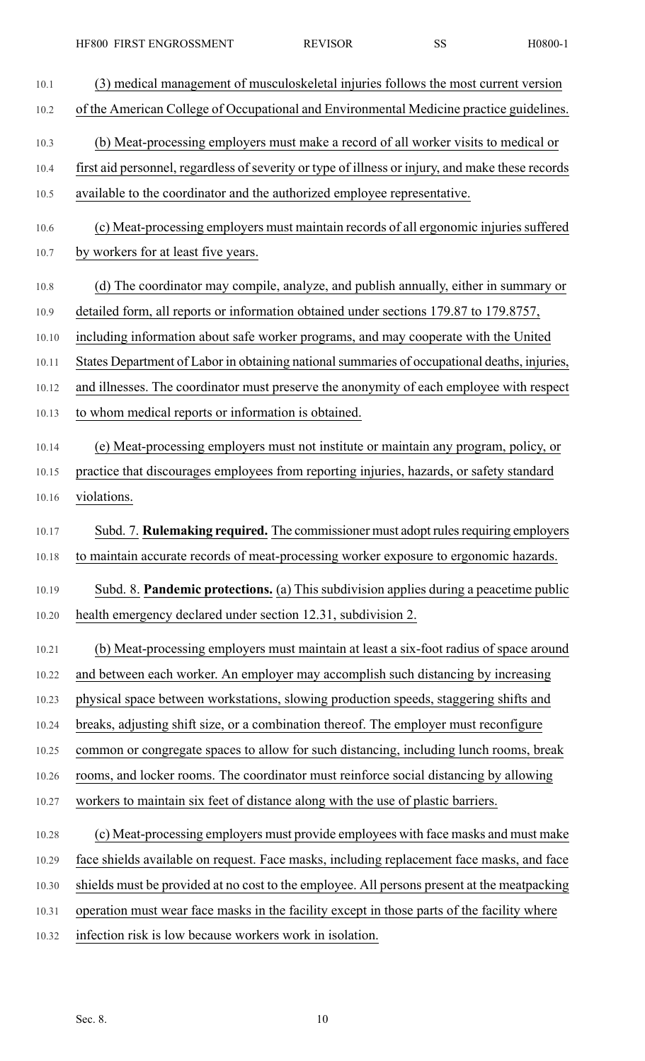| 10.1  | (3) medical management of musculoskeletal injuries follows the most current version              |
|-------|--------------------------------------------------------------------------------------------------|
| 10.2  | of the American College of Occupational and Environmental Medicine practice guidelines.          |
| 10.3  | (b) Meat-processing employers must make a record of all worker visits to medical or              |
| 10.4  | first aid personnel, regardless of severity or type of illness or injury, and make these records |
| 10.5  | available to the coordinator and the authorized employee representative.                         |
| 10.6  | (c) Meat-processing employers must maintain records of all ergonomic injuries suffered           |
| 10.7  | by workers for at least five years.                                                              |
| 10.8  | (d) The coordinator may compile, analyze, and publish annually, either in summary or             |
| 10.9  | detailed form, all reports or information obtained under sections 179.87 to 179.8757,            |
| 10.10 | including information about safe worker programs, and may cooperate with the United              |
| 10.11 | States Department of Labor in obtaining national summaries of occupational deaths, injuries,     |
| 10.12 | and illnesses. The coordinator must preserve the anonymity of each employee with respect         |
| 10.13 | to whom medical reports or information is obtained.                                              |
| 10.14 | (e) Meat-processing employers must not institute or maintain any program, policy, or             |
| 10.15 | practice that discourages employees from reporting injuries, hazards, or safety standard         |
| 10.16 | violations.                                                                                      |
| 10.17 | Subd. 7. <b>Rulemaking required.</b> The commissioner must adopt rules requiring employers       |
| 10.18 | to maintain accurate records of meat-processing worker exposure to ergonomic hazards.            |
| 10.19 | Subd. 8. Pandemic protections. (a) This subdivision applies during a peacetime public            |
| 10.20 | health emergency declared under section 12.31, subdivision 2.                                    |
| 10.21 | (b) Meat-processing employers must maintain at least a six-foot radius of space around           |
| 10.22 | and between each worker. An employer may accomplish such distancing by increasing                |
| 10.23 | physical space between workstations, slowing production speeds, staggering shifts and            |
| 10.24 | breaks, adjusting shift size, or a combination thereof. The employer must reconfigure            |
| 10.25 | common or congregate spaces to allow for such distancing, including lunch rooms, break           |
| 10.26 | rooms, and locker rooms. The coordinator must reinforce social distancing by allowing            |
| 10.27 | workers to maintain six feet of distance along with the use of plastic barriers.                 |
| 10.28 | (c) Meat-processing employers must provide employees with face masks and must make               |
| 10.29 | face shields available on request. Face masks, including replacement face masks, and face        |
| 10.30 | shields must be provided at no cost to the employee. All persons present at the meatpacking      |
| 10.31 | operation must wear face masks in the facility except in those parts of the facility where       |
| 10.32 | infection risk is low because workers work in isolation.                                         |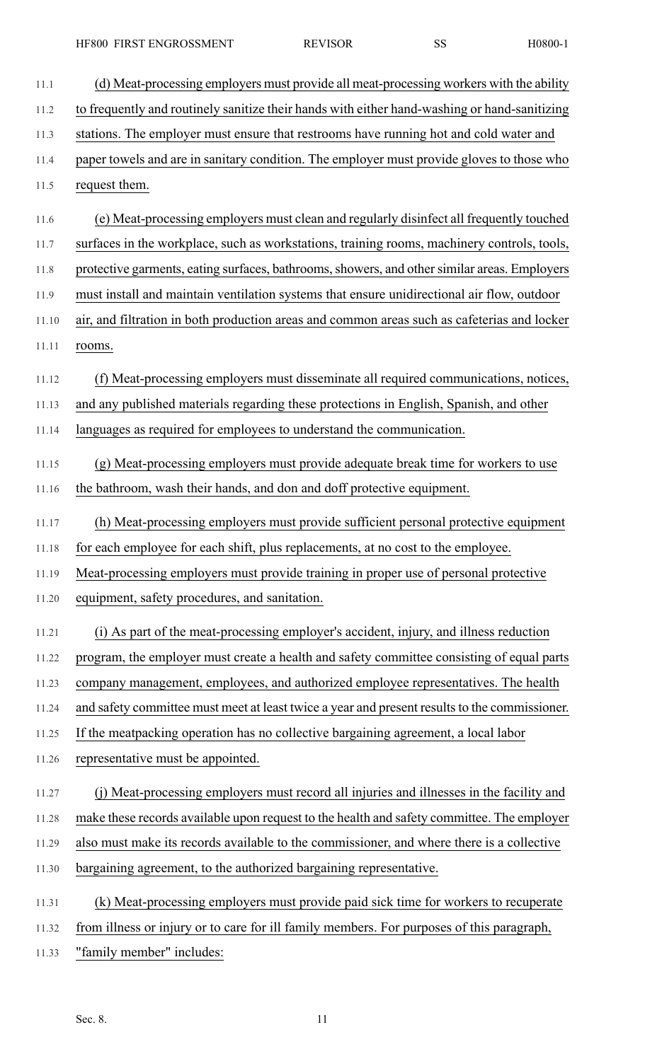HF800 FIRST ENGROSSMENT REVISOR SS H0800-1

11.1 (d) Meat-processing employers must provide all meat-processing workers with the ability 11.2 to frequently and routinely sanitize their hands with either hand-washing or hand-sanitizing 11.3 stations. The employer must ensure that restrooms have running hot and cold water and 11.4 paper towels and are in sanitary condition. The employer must provide gloves to those who 11.5 request them. 11.6 (e) Meat-processing employers must clean and regularly disinfect all frequently touched 11.7 surfaces in the workplace, such as workstations, training rooms, machinery controls, tools, 11.8 protective garments, eating surfaces, bathrooms, showers, and other similar areas. Employers 11.9 must install and maintain ventilation systems that ensure unidirectional air flow, outdoor 11.10 air, and filtration in both production areas and common areas such as cafeterias and locker 11.11 rooms. 11.12 (f) Meat-processing employers must disseminate all required communications, notices, 11.13 and any published materials regarding these protections in English, Spanish, and other 11.14 languages as required for employees to understand the communication. 11.15 (g) Meat-processing employers must provide adequate break time for workers to use 11.16 the bathroom, wash their hands, and don and doff protective equipment. 11.17 (h) Meat-processing employers must provide sufficient personal protective equipment 11.18 for each employee for each shift, plus replacements, at no cost to the employee. 11.19 Meat-processing employers must provide training in proper use of personal protective 11.20 equipment, safety procedures, and sanitation. 11.21 (i) As part of the meat-processing employer's accident, injury, and illness reduction 11.22 program, the employer must create a health and safety committee consisting of equal parts 11.23 company management, employees, and authorized employee representatives. The health 11.24 and safety committee must meet at least twice a year and present results to the commissioner. 11.25 If the meatpacking operation has no collective bargaining agreement, a local labor 11.26 representative must be appointed. 11.27 (j) Meat-processing employers must record all injuries and illnesses in the facility and 11.28 make these records available upon request to the health and safety committee. The employer 11.29 also must make its records available to the commissioner, and where there is a collective 11.30 bargaining agreement, to the authorized bargaining representative. 11.31 (k) Meat-processing employers must provide paid sick time for workers to recuperate 11.32 from illness or injury or to care for ill family members. For purposes of this paragraph, 11.33 "family member" includes: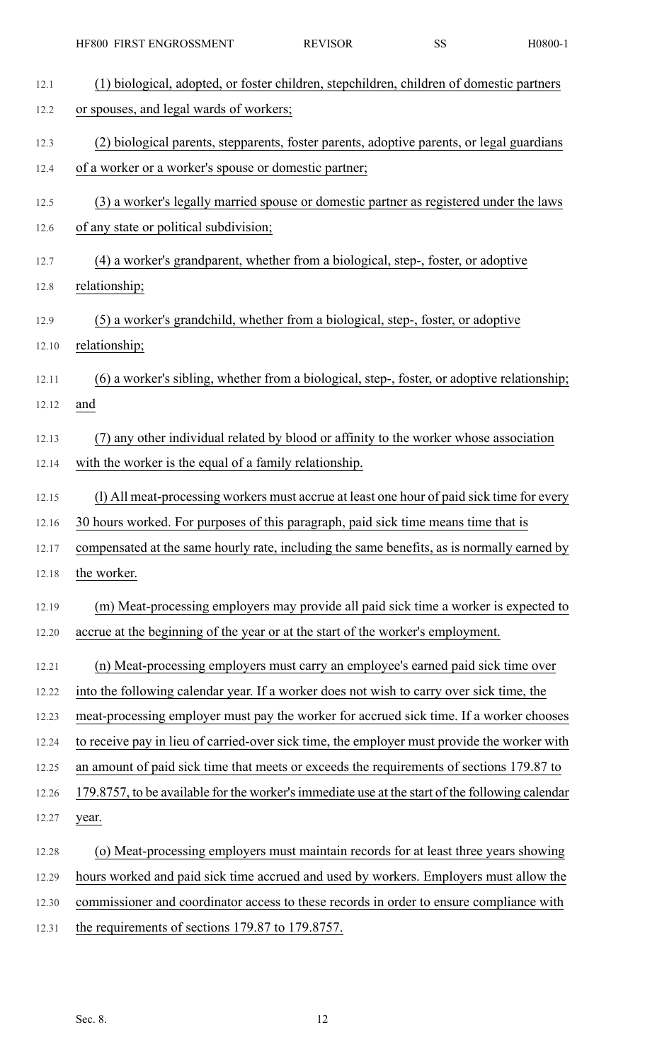| 12.1  | (1) biological, adopted, or foster children, stepchildren, children of domestic partners        |
|-------|-------------------------------------------------------------------------------------------------|
| 12.2  | or spouses, and legal wards of workers;                                                         |
| 12.3  | (2) biological parents, stepparents, foster parents, adoptive parents, or legal guardians       |
| 12.4  | of a worker or a worker's spouse or domestic partner;                                           |
| 12.5  | (3) a worker's legally married spouse or domestic partner as registered under the laws          |
| 12.6  | of any state or political subdivision;                                                          |
| 12.7  | (4) a worker's grandparent, whether from a biological, step-, foster, or adoptive               |
| 12.8  | relationship;                                                                                   |
| 12.9  | (5) a worker's grandchild, whether from a biological, step-, foster, or adoptive                |
| 12.10 | relationship;                                                                                   |
| 12.11 | (6) a worker's sibling, whether from a biological, step-, foster, or adoptive relationship;     |
| 12.12 | and                                                                                             |
| 12.13 | (7) any other individual related by blood or affinity to the worker whose association           |
| 12.14 | with the worker is the equal of a family relationship.                                          |
| 12.15 | (l) All meat-processing workers must accrue at least one hour of paid sick time for every       |
| 12.16 | 30 hours worked. For purposes of this paragraph, paid sick time means time that is              |
| 12.17 | compensated at the same hourly rate, including the same benefits, as is normally earned by      |
| 12.18 | the worker.                                                                                     |
| 12.19 | (m) Meat-processing employers may provide all paid sick time a worker is expected to            |
| 12.20 | accrue at the beginning of the year or at the start of the worker's employment.                 |
| 12.21 | (n) Meat-processing employers must carry an employee's earned paid sick time over               |
| 12.22 | into the following calendar year. If a worker does not wish to carry over sick time, the        |
| 12.23 | meat-processing employer must pay the worker for accrued sick time. If a worker chooses         |
| 12.24 | to receive pay in lieu of carried-over sick time, the employer must provide the worker with     |
| 12.25 | an amount of paid sick time that meets or exceeds the requirements of sections 179.87 to        |
| 12.26 | 179.8757, to be available for the worker's immediate use at the start of the following calendar |
| 12.27 | year.                                                                                           |
| 12.28 | (o) Meat-processing employers must maintain records for at least three years showing            |
| 12.29 | hours worked and paid sick time accrued and used by workers. Employers must allow the           |
| 12.30 | commissioner and coordinator access to these records in order to ensure compliance with         |
| 12.31 | the requirements of sections 179.87 to 179.8757.                                                |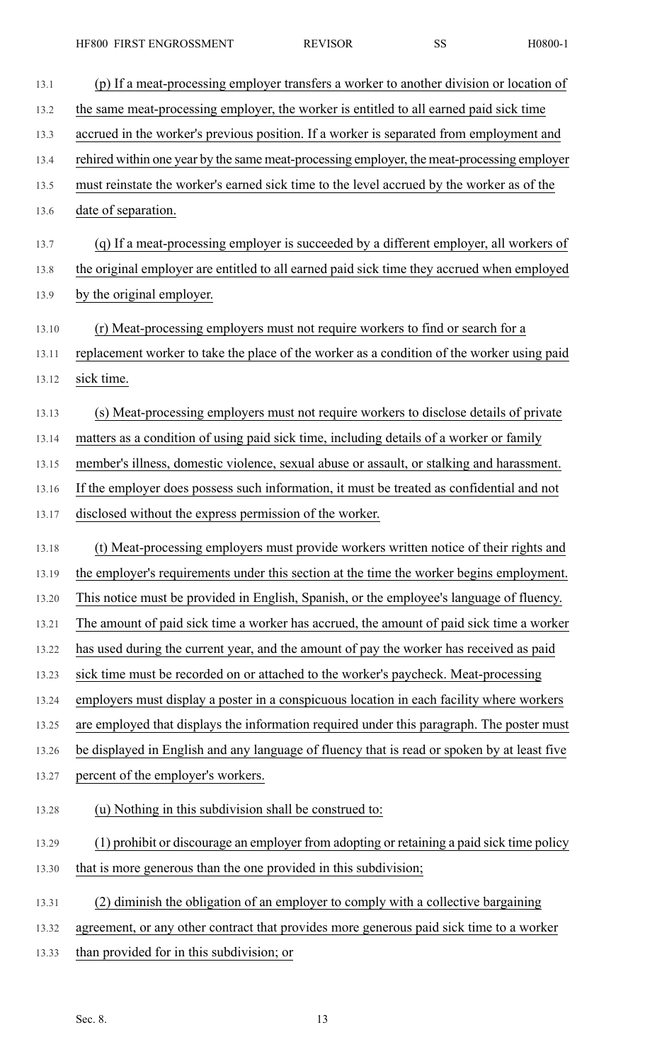- 13.1 (p) If a meat-processing employer transfers a worker to another division or location of 13.2 the same meat-processing employer, the worker is entitled to all earned paid sick time 13.3 accrued in the worker's previous position. If a worker is separated from employment and 13.4 rehired within one year by the same meat-processing employer, the meat-processing employer 13.5 must reinstate the worker's earned sick time to the level accrued by the worker as of the 13.6 date of separation. 13.7 (q) If a meat-processing employer is succeeded by a different employer, all workers of 13.8 the original employer are entitled to all earned paid sick time they accrued when employed 13.9 by the original employer. 13.10 (r) Meat-processing employers must not require workers to find or search for a 13.11 replacement worker to take the place of the worker as a condition of the worker using paid 13.12 sick time. 13.13 (s) Meat-processing employers must not require workers to disclose details of private 13.14 matters as a condition of using paid sick time, including details of a worker or family 13.15 member's illness, domestic violence, sexual abuse or assault, or stalking and harassment. 13.16 If the employer does possess such information, it must be treated as confidential and not 13.17 disclosed without the express permission of the worker. 13.18 (t) Meat-processing employers must provide workers written notice of their rights and 13.19 the employer's requirements under this section at the time the worker begins employment. 13.20 This notice must be provided in English, Spanish, or the employee's language of fluency. 13.21 The amount of paid sick time a worker has accrued, the amount of paid sick time a worker 13.22 has used during the current year, and the amount of pay the worker has received as paid 13.23 sick time must be recorded on or attached to the worker's paycheck. Meat-processing 13.24 employers must display a poster in a conspicuous location in each facility where workers 13.25 are employed that displays the information required under this paragraph. The poster must 13.26 be displayed in English and any language of fluency that is read or spoken by at least five 13.27 percent of the employer's workers. 13.28 (u) Nothing in this subdivision shall be construed to: 13.29 (1) prohibit or discourage an employer from adopting or retaining a paid sick time policy 13.30 that is more generous than the one provided in this subdivision; 13.31 (2) diminish the obligation of an employer to comply with a collective bargaining 13.32 agreement, or any other contract that provides more generous paid sick time to a worker 13.33 than provided for in this subdivision; or
	- Sec. 8. 13